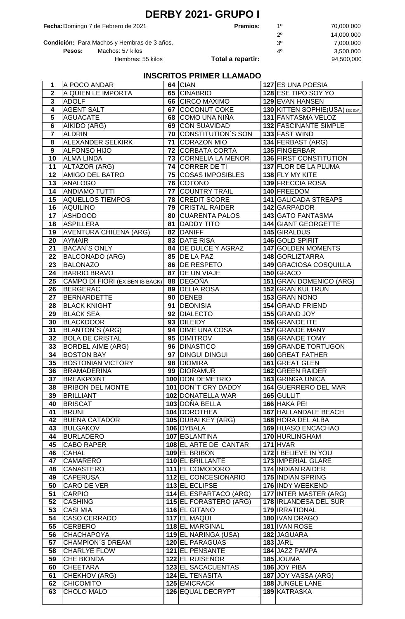| <b>DERBY 2021- GRUPO I</b> |  |  |
|----------------------------|--|--|
|----------------------------|--|--|

**Fecha:**Domingo 7 de Febrero de 2021 **Premios:** 1º 70,000,000

| rero de 2021         | <b>Premios:</b>   | 10 | 70.000.000 |
|----------------------|-------------------|----|------------|
|                      |                   | 20 | 14.000.000 |
| y Hembras de 3 años. |                   | 3º | 7.000.000  |
| os: 57 kilos         |                   | 40 | 3.500.000  |
| Hembras: 55 kilos    | Total a repartir: |    | 94.500.000 |

**Condición:** Para Machos y Hembras de 3 años.<br>**Pesos:** Machos: 57 kilos *A*<sup>0</sup>, *A*<sup>0</sup> **Pesos:** Machos: 57 kilos

## **INSCRITOS PRIMER LLAMADO**

| 1               | A POCO ANDAR                          |    | 64 CIAN                      | 127 ES UNA POESIA               |
|-----------------|---------------------------------------|----|------------------------------|---------------------------------|
| $\mathbf 2$     | A QUIEN LE IMPORTA                    |    | 65 CINABRIO                  | 128 ESE TIPO SOY YO             |
| 3               | <b>ADOLF</b>                          |    | <b>66 CIRCO MAXIMO</b>       | <b>129 EVAN HANSEN</b>          |
| 4               | <b>AGENT SALT</b>                     |    | 67 COCONUT COKE              | 130 KITTEN SOPHIE(USA) (EX EXP) |
| $\overline{5}$  | <b>AGUACATE</b>                       |    | 68 COMO UNA NIÑA             | <b>131 FANTASMA VELOZ</b>       |
| $\overline{6}$  | AIKIDO (ARG)                          |    | <b>69 CON SUAVIDAD</b>       | 132 FASCINANTE SIMPLE           |
| $\overline{7}$  | <b>ALDRIN</b>                         |    | <b>70 CONSTITUTION'S SON</b> | 133 FAST WIND                   |
| 8               | ALEXANDER SELKIRK                     | 71 | <b>CORAZON MIO</b>           | 134 FERBAST (ARG)               |
| $\overline{9}$  | <b>ALFONSO HIJO</b>                   |    | <b>72 CORBATA CORTA</b>      | 135 FINGERBAR                   |
| 10              | <b>ALMA LINDA</b>                     |    | 73 CORNELIA LA MENOR         | 136 FIRST CONSTITUTION          |
| 11              | ALTAZOR (ARG)                         |    | 74 CORRER DE TI              | 137 FLOR DE LA PLUMA            |
| 12              | AMIGO DEL BATRO                       |    | 75 COSAS IMPOSIBLES          | 138 FLY MY KITE                 |
| 13              | <b>ANALOGO</b>                        |    | 76 COTONO                    | 139 FRECCIA ROSA                |
| 14              | <b>ANDIAMO TUTTI</b>                  |    | 77 COUNTRY TRAIL             | 140 FREEDOM                     |
| 15              | <b>AQUELLOS TIEMPOS</b>               |    | 78 CREDIT SCORE              | 141 GALICADA STREAPS            |
| 16              | <b>AQUILINO</b>                       |    | 79 CRISTAL RAIDER            | 142 GARPADOR                    |
| 17              |                                       |    |                              | 143 GATO FANTASMA               |
|                 | ASHDOOD                               |    | 80   CUARENTA PALOS          |                                 |
| 18              | <b>ASPILLERA</b>                      |    | 81 DADDY TITO                | <b>144 GIANT GEORGETTE</b>      |
| 19              | <b>AVENTURA CHILENA (ARG)</b>         |    | 82 DANIFF                    | 145 GIRALDUS                    |
| 20              | <b>AYMAIR</b>                         |    | 83 DATE RISA                 | 146 GOLD SPIRIT                 |
| 21              | <b>BACAN'S ONLY</b>                   |    | 84   DE DULCE Y AGRAZ        | 147 GOLDEN MOMENTS              |
| 22              | <b>BALCONADO (ARG)</b>                |    | 85 DE LA PAZ                 | <b>148 GORLIZTARRA</b>          |
| 23              | <b>BALONAZO</b>                       |    | 86 DE RESPETO                | 149 GRACIOSA COSQUILLA          |
| 24              | <b>BARRIO BRAVO</b>                   |    | 87 DE UN VIAJE               | 150 GRACO                       |
| 25              | CAMPO DI FIORI (EX BEN IS BACK)       |    | 88 DEGOÑA                    | 151 GRAN DOMENICO (ARG)         |
| $\overline{26}$ | <b>BERGERAC</b>                       |    | 89 DELIA ROSA                | 152 GRAN KULTRUN                |
| 27              | <b>BERNARDETTE</b>                    |    | 90 DENEB                     | 153 GRAN NONO                   |
| 28              | <b>BLACK KNIGHT</b>                   |    | 91   DEONISIA                | 154 GRAND FRIEND                |
| 29              | <b>BLACK SEA</b>                      |    | 92 DIALECTO                  | 155 GRAND JOY                   |
| 30              | <b>BLACKDOOR</b>                      |    | 93 DILEIDY                   | 156 GRANDE ITE                  |
| 31              | <b>BLANTON'S (ARG)</b>                |    | 94 DIME UNA COSA             | <b>157 GRANDE MANY</b>          |
| 32              | <b>BOLA DE CRISTAL</b>                |    | 95 DIMITROV                  | <b>158 GRANDE TOMY</b>          |
| 33              | <b>BORDEL AIME (ARG)</b>              |    | 96 DINASTICO                 | 159 GRANDE TORTUGON             |
| 34              | <b>BOSTON BAY</b>                     |    | 97   DINGUI DINGUI           | 160 GREAT FATHER                |
| 35              | <b>BOSTONIAN VICTORY</b>              |    | 98 DIOMIRA                   | 161 GREAT GLEN                  |
| 36              | <b>BRAMADERINA</b>                    |    | 99 DIORAMUR                  | <b>162 GREEN RAIDER</b>         |
|                 |                                       |    | 100 DON DEMETRIO             | 163 GRINGA UNICA                |
|                 |                                       |    |                              |                                 |
| 37<br>38        | BREAKPOINT<br><b>BRIBON DEL MONTE</b> |    |                              |                                 |
|                 |                                       |    | 101 DON'T CRY DADDY          | 164 GUERRERO DEL MAR            |
| 39              | <b>BRILLIANT</b>                      |    | 102 DONATELLA WAR            | 165 GULLIT                      |
| 40              | <b>BRISCAT</b>                        |    | 103 DOÑA BELLA               | 166 HAKA PEI                    |
| 41              | <b>BRUNI</b>                          |    | 104 DOROTHEA                 | 167 HALLANDALE BEACH            |
| 42              | <b>BUENA CATADOR</b>                  |    | 105 DUBAI KEY (ARG)          | 168 HORA DEL ALBA               |
| 43              | <b>BULGAKOV</b>                       |    | 106 DYBALA                   | 169 HUASO ENCACHAO              |
| 44              | <b>BURLADERO</b>                      |    | 107 EGLANTINA                | 170 HURLINGHAM                  |
| 45              | CABO RAPER                            |    | 108 EL ARTE DE CANTAR        | <b>171 HVAR</b>                 |
| 46              | <b>CAHAL</b>                          |    | 109 EL BRIBON                | 172 I BELIEVE IN YOU            |
| 47              | CAMARERO                              |    | <b>110 EL BRILLANTE</b>      | 173 IMPERIAL GLARE              |
| 48              | <b>CANASTERO</b>                      |    | 111 EL COMODORO              | 174 INDIAN RAIDER               |
| 49              | <b>CAPERUSA</b>                       |    | 112 EL CONCESIONARIO         | 175 INDIAN SPRING               |
| 50              | <b>CARO DE VER</b>                    |    | 113 EL ECLIPSE               | 176 INDY WEEKEND                |
| 51              | <b>CARPIO</b>                         |    | 114 EL ESPARTACO (ARG)       | <b>177 INTER MASTER (ARG)</b>   |
| 52              | <b>CASHING</b>                        |    | 115 EL FORASTERO (ARG)       | 178 <b>IRLANDESA DEL SUR</b>    |
| 53              | <b>CASI MIA</b>                       |    | 116 EL GITANO                | 179 <b>IRRATIONAL</b>           |
| 54              | CASO CERRADO                          |    | 117 EL MAQUI                 | 180 IVAN DRAGO                  |
| 55              | <b>CERBERO</b>                        |    | 118 EL MARGINAL              | 181 IVAN ROSE                   |
| 56              | <b>CHACHAPOYA</b>                     |    | 119 EL NARINGA (USA)         | 182 JAGUARA                     |
| 57              | <b>CHAMPION'S DREAM</b>               |    | 120 EL PARAGUAS              | <b>183 JARL</b>                 |
| 58              | <b>CHARLYE FLOW</b>                   |    | 121 EL PENSANTE              | 184 JAZZ PAMPA                  |
| 59              | <b>CHE BIONDA</b>                     |    | 122 EL RUISEÑOR              | 185 JOUMA                       |
| 60              | <b>CHEETARA</b>                       |    | <b>123 EL SACACUENTAS</b>    | 186 JOY PIBA                    |
| 61              | CHEKHOV (ARG)                         |    | <b>124 EL TENASITA</b>       | 187 JOY VASSA (ARG)             |
| 62              | <b>CHICOMITO</b>                      |    | 125 EMICRACK                 | 188 JUNGLE LANE                 |
| 63              | CHOLO MALO                            |    | 126 EQUAL DECRYPT            | 189 KATRASKA                    |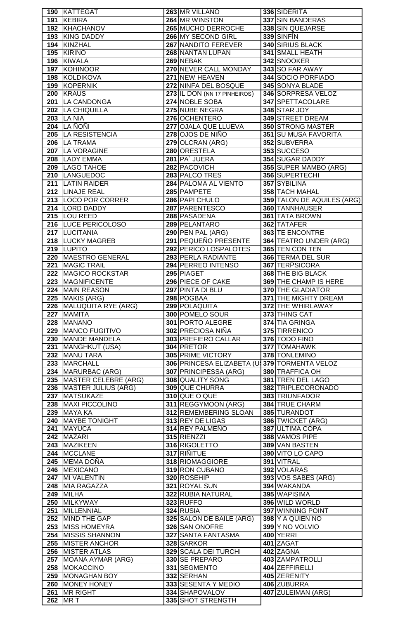|     | 190 KATTEGAT             | 263 MR VILLANO                               | 336 SIDERITA                |
|-----|--------------------------|----------------------------------------------|-----------------------------|
| 191 | KEBIRA                   | 264 MR WINSTON                               | 337 SIN BANDERAS            |
|     | 192 KHACHANOV            | 265 MUCHO DERROCHE                           | 338 SIN QUEJARSE            |
| 193 | <b>KING DADDY</b>        | 266 MY SECOND GIRL                           | 339 SINFÍN                  |
| 194 | KINZHAL                  | 267 NANDITO FEREVER                          | <b>340 SIRIUS BLACK</b>     |
|     | 195 KIRINO               | 268 NANTAN LUPAN                             | 341 SMALL HEATH             |
|     |                          |                                              |                             |
|     | 196 KIWALA               | 269 NEBAK                                    | 342 SNOOKER                 |
|     | 197 KOHINOOR             | 270 NEVER CALL MONDAY                        | 343 SO FAR AWAY             |
|     | 198 KOLDIKOVA            | 271 NEW HEAVEN                               | 344 SOCIO PORFIADO          |
|     | 199 KOPERNIK             | 272 NINFA DEL BOSQUE                         | 345 SONYA BLADE             |
|     | 200 KRAUS                | 273 IL DON (NN 17 PINHEIROS)                 | 346 SORPRESA VELOZ          |
|     | 201 LA CANDONGA          | 274 NOBLE SOBA                               | 347 SPETTACOLARE            |
|     | 202 LA CHIQUILLA         | 275 NUBE NEGRA                               |                             |
|     |                          |                                              | 348 STAR JOY                |
|     | <b>203 LA NIA</b>        | 276 OCHENTERO                                | <b>349 STREET DREAM</b>     |
|     | <b>204 LA ÑOÑI</b>       | 277 OJALA QUE LLUEVA                         | <b>350 STRONG MASTER</b>    |
|     | 205 LA RESISTENCIA       | 278 OJOS DE NIÑO                             | 351 SU MUSA FAVORITA        |
|     | 206   LA TRAMA           | 279 OLCRAN (ARG)                             | 352 SUBVERRA                |
|     | 207   LA VORAGINE        | 280 ORESTELA                                 | 353 SUCCESO                 |
|     | 208 LADY EMMA            | 281 PA JUERA                                 | <b>354 SUGAR DADDY</b>      |
|     |                          |                                              |                             |
|     | 209 LAGO TAHOE           | 282 PACOVICH                                 | 355 SUPER MAMBO (ARG)       |
|     | 210 LANGUEDOC            | 283 PALCO TRES                               | 356 SUPERTECHI              |
| 211 | <b>LATIN RAIDER</b>      | 284 PALOMA AL VIENTO                         | 357 SYBILINA                |
|     | 212 LINAJE REAL          | 285 PAMPETE                                  | <b>358 TACH MAHAL</b>       |
|     | 213 LOCO POR CORRER      | 286 PAPI CHULO                               | 359 TALON DE AQUILES (ARG)  |
|     | 214 LORD DADDY           | 287 PARENTESCO                               | 360 TANNHAUSER              |
|     |                          |                                              |                             |
|     | 215 LOU REED             | 288 PASADENA                                 | 361 TATA BROWN              |
|     | 216 LUCE PERICOLOSO      | 289 PELANTARO                                | 362 TATAFER                 |
|     | 217 LUCITANIA            | 290 PEN PAL (ARG)                            | 363 TE ENCONTRE             |
|     | 218 LUCKY MAGREB         | 291 PEQUEÑO PRESENTE                         | 364 TEATRO UNDER (ARG)      |
|     | 219 LUPITO               | 292 PERICO LOSPALOTES                        | 365 TEN CON TEN             |
|     | 220 MAESTRO GENERAL      | 293 PERLA RADIANTE                           | 366 TERMA DEL SUR           |
| 221 | <b>MAGIC TRAIL</b>       | 294 PERREO INTENSO                           | 367 TERPSICORA              |
|     |                          |                                              |                             |
| 222 | <b>MAGICO ROCKSTAR</b>   | 295 PIAGET                                   | 368 THE BIG BLACK           |
| 223 | MAGNIFICENTE             | 296 PIECE OF CAKE                            | 369 THE CHAMP IS HERE       |
| 224 | <b>MAIN REASON</b>       | 297 PINTA DI BLU                             | 370 THE GLADIATOR           |
| 225 | MAKIS (ARG)              | 298 POGBAA                                   | <b>371 THE MIGHTY DREAM</b> |
|     |                          |                                              |                             |
|     |                          |                                              |                             |
|     | 226 MALUQUITA RYE (ARG)  | 299 POLAQUITA                                | 372 THE WHIRLAWAY           |
|     | 227 MAMITA               | 300 POMELO SOUR                              | 373 THING CAT               |
|     | 228 MANANO               | <b>301 PORTO ALEGRE</b>                      | 374 TIA GRINGA              |
|     | 229   MANCO FUGITIVO     | 302 PRECIOSA NIÑA                            | 375 TIRRENICO               |
|     | 230 MANDE MANDELA        | 303 PREFIERO CALLAR                          | 376 TODO FINO               |
|     | 231 MANGHKUT (USA)       | 304 PRETOR                                   | 377 TOMAHAWK                |
|     |                          |                                              |                             |
|     | 232 MANU TARA            | 305 PRIME VICTORY                            | 378 TONLEMINO               |
|     | 233 MARCHALL             | 306 PRINCESA ELIZABETA (U 379 TORMENTA VELOZ |                             |
|     | 234   MARURBAC (ARG)     | 307 PRINCIPESSA (ARG)                        | 380 TRAFFICA OH             |
|     | 235 MASTER CELEBRE (ARG) | <b>308 QUALITY SONG</b>                      | 381 TREN DEL LAGO           |
|     | 236 MASTER JULIUS (ARG)  | <b>309 QUE CHURRA</b>                        | 382 TRIPLECORONADO          |
|     | 237 MATSUKAZE            | 310 QUE O QUE                                | 383 TRIUNFADOR              |
|     |                          |                                              |                             |
|     | 238   MAXI PICCOLINO     | 311 REGGYMOON (ARG)                          | 384 TRUE CHARM              |
|     | <b>239 MAYA KA</b>       | 312 REMEMBERING SLOAN                        | 385 TURANDOT                |
|     | 240 MAYBE TONIGHT        | 313 REY DE LIGAS                             | 386 TWICKET (ARG)           |
| 241 | <b>MAYUCA</b>            | 314 REY PALMEÑO                              | 387 ULTIMA COPA             |
|     | 242 MAZARI               | 315 RIENZZI                                  | 388 VAMOS PIPE              |
|     | 243   MAZIKEEN           | 316 RIGOLETTO                                | 389 VAN BASTEN              |
|     | 244   MCCLANE            | 317 RIÑITUE                                  |                             |
|     |                          |                                              | 390 VITO LO CAPO            |
|     | 245 MEMA DOÑA            | 318 RIOMAGGIORE                              | 391 VITRAL                  |
|     | 246 MEXICANO             | 319 RON CUBANO                               | 392 VOLARAS                 |
|     | 247 MI VALENTIN          | 320 ROSEHIP                                  | 393 VOS SABES (ARG)         |
|     | 248 MIA RAGAZZA          | 321 ROYAL SUN                                | 394 WAKANDA                 |
|     | <b>249 MILHA</b>         | 322 RUBIA NATURAL                            | 395 WAPISIMA                |
|     | 250 MILKYWAY             | 323 RUFFO                                    | 396 WILD WORLD              |
|     |                          |                                              |                             |
|     | 251 MILLENNIAL           | 324 RUSIA                                    | 397 WINNING POINT           |
|     | 252 MIND THE GAP         | 325 SALON DE BAILE (ARG)                     | 398 Y A QUIEN NO            |
|     | 253 MISS HOMEYRA         | 326 SAN ONOFRE                               | 399 Y NO VOLVIO             |
|     | 254 MISSIS SHANNON       | 327 SANTA FANTASMA                           | <b>400 YERRI</b>            |
|     | 255 MISTER ANCHOR        | 328 SARKOR                                   | 401 ZAGAT                   |
|     | 256 MISTER ATLAS         | 329 SCALA DEI TURCHI                         | 402 ZAGNA                   |
|     |                          |                                              |                             |
| 257 | MOANA AYMAR (ARG)        | 330 SE PREPARO                               | 403 ZAMPATROLLI             |
| 258 | MOKACCINO                | 331 SEGMENTO                                 | 404 ZEFFIRELLI              |
|     | 259 MONAGHAN BOY         | 332 SERHAN                                   | 405 ZERENITY                |
|     | 260 MONEY HONEY          | 333 SESENTA Y MEDIO                          | 406 ZUBURRA                 |
| 261 | <b>MR RIGHT</b>          | 334 SHAPOVALOV<br>335 SHOT STRENGTH          | 407 ZULEIMAN (ARG)          |